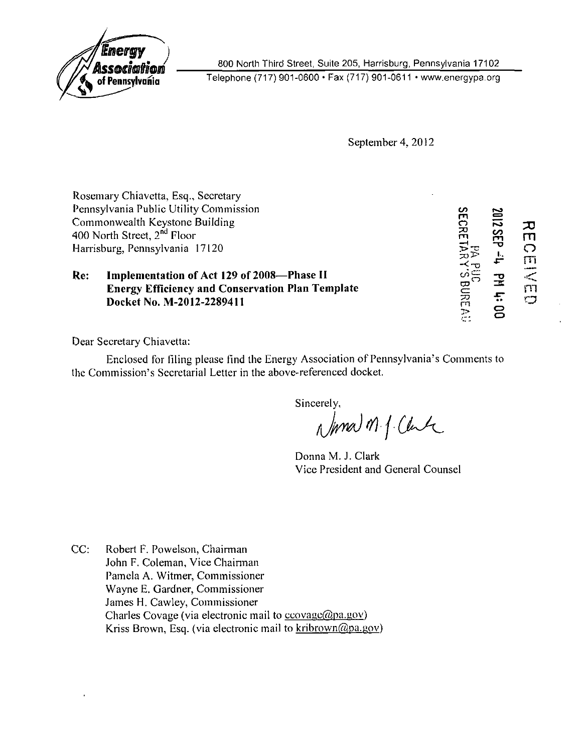

800 North Third Street, Suite 205, Harrisburg, Pennsylvania 17102

Telephone (717) 901-0600 • Fax (717) 901-0611 • www.energypa.org

September 4, 2012

|                                | Rosemary Chiavetta, Esq., Secretary                                                                   |                 |             |         |
|--------------------------------|-------------------------------------------------------------------------------------------------------|-----------------|-------------|---------|
|                                | Pennsylvania Public Utility Commission                                                                |                 |             |         |
|                                | Commonwealth Keystone Building                                                                        | <b>SECRETAR</b> | 2102        | 고       |
|                                | 400 North Street, 2 <sup>nd</sup> Floor                                                               |                 | SEP<br>55   | m       |
| Harrisburg, Pennsylvania 17120 |                                                                                                       |                 |             | ౧       |
| Re:                            | Implementation of Act 129 of 2008-Phase II<br><b>Energy Efficiency and Conservation Plan Template</b> |                 | ᆇ<br>궆<br>玉 | m<br>ពា |
|                                | Docket No. M-2012-2289411                                                                             | BUREAU          | 8           | O       |

Dear Secretary Chiavetta:

Enclosed for filing please find the Energy Association of Pennsylvania's Comments to the Commission's Secretarial Letter in the above-referenced docket.

Sincerely,<br>Normal M. J. Clark

Donna M. J. Clark Vice President and General Counsel

CC: Robert F. Powelson, Chairman John F. Coleman, Vice Chairman Pamela A. Witmer, Commissioner Wayne E. Gardner, Commissioner James H. Cawley, Commissioner Charles Covage (via electronic mail to ccovage@pa.gov) Kriss Brown, Esq. (via electronic mail to kribrown@pa.gov)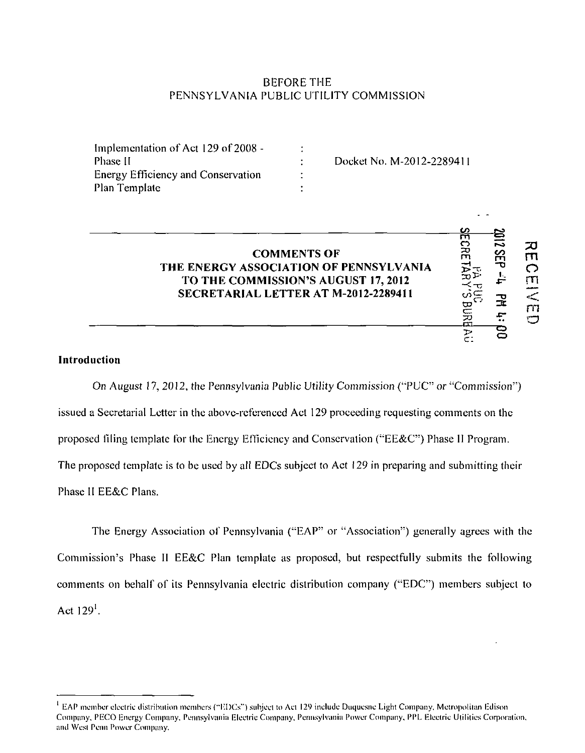## BEFORE THE PENNSYLVANIA PUBLIC UTILITY COMMISSION

| Implementation of Act 129 of 2008 -       |                      |                           |
|-------------------------------------------|----------------------|---------------------------|
| Phase II                                  |                      | Docket No. M-2012-2289411 |
| <b>Energy Efficiency and Conservation</b> | $\ddot{\phantom{1}}$ |                           |
| Plan Template                             |                      |                           |

# **COMMENTS OF**  $\begin{matrix} 1 & 1 & 1 \ 2 & 3 & 5 \ 2 & 3 & 6 \end{matrix}$ **<br>
COMMENTS OF PENNSYLVANIA**<br> **COMMISSION'S AUGUST 17, 2012 THE ENERGY ASSOCIATION OF PENNSYLVANIA TO THE COMMISSION'S AUGUST 17, 2012**  $\begin{array}{ccc}\n\mathbb{R}^{\omega} & \mathbb{R}^{\omega} & \mathbb{R}^{\omega} \\
\mathbb{R} & \mathbb{R}^{\omega} & \mathbb{R}^{\omega}\n\end{array}$   $\begin{array}{ccc}\n\mathbb{R}^{\omega} & \mathbb{R}^{\omega} & \mathbb{R}^{\omega} \\
\mathbb{R} & \mathbb{R}^{\omega}\n\end{array}$ **SECRETARIAL LETTER AT M-2012-2289411**  $\underset{\substack{\text{def}\\ \text{odd}\\ \text{odd}}}$   $\underset{\substack{\text{def}\\ \text{odd}}}$   $\underset{\substack{\text{def}\\ \text{odd}}}$   $\underset{\substack{\text{def}\\ \text{odd}}}$   $\underset{\substack{\text{def}\\ \text{odd}}}$   $\underset{\substack{\text{def}\\ \text{odd}}}$   $\underset{\substack{\text{def}\\ \text{odd}}}$   $\underset{\substack{\text{def}\\ \text{odd}}}$   $\underset{\substack{\text{def}\\ \text{odd}}}$   $\underset{\sub$

m

**2. 7 回** 

 $\overline{\widetilde{z}}$   $\overline{z}$ 

### Introduction

On August 17, 2012, the Pennsylvania Public Utility Commission ("PUC,; issued a Secretarial Letter in the above-referenced Act 129 proceeding requesting comments on the proposed filing template for the Energy Efficiency and Conservation ("EE&C") Phase II Program. The proposed temperature is to be used by all EDCs subject to Act 129 in preparing and subsect to Act 129 in preparing the  $\sim$ Phase II EE&C Plans.

The Energy Association of Pennsylvania ("EAP" or "Association") generally agrees with the Commission's Phase II EE&C Plan template as proposed, but respectfully submits the following comments on behalf of its Pennsylvania electric distribution company ("EDC") members subject to Act  $129<sup>1</sup>$ .

 $<sup>1</sup>$  EAP member electric distribution members ("EDCs") subject to Act 129 include Duquesne Light Company, Metropolitan Edison</sup> Company, PECO Energy Company, Pennsylvania Electric Company, Pennsylvania Power Company, PPL Electric Utilities Corporation, and West Penn Power Company.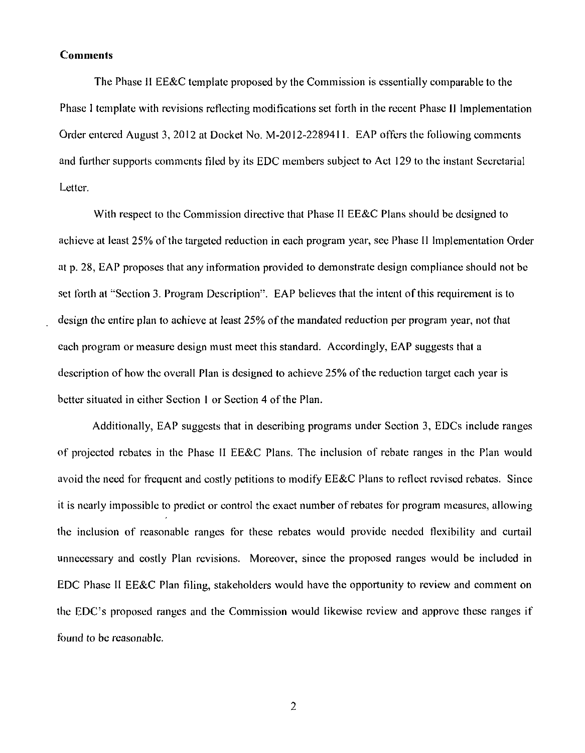#### **Comments**

The Phase II EE&C template proposed by the Commission is essentially comparable to the Phase 1 template with revisions reflecting modifications set forth in the recent Phase 11 Implementation Order entered August 3, 2012 at Docket No. M-2012-2289411. EAP offers the following comments and further supports comments filed by its EDC members subject to Act 129 to the instant Secretarial Letter.

With respect to the Commission directive that Phase II EE&C Plans should be designed to achieve at least 25% of the targeted reduction in each program year, see Phase II Implementation Order at p. 28, EAP proposes that any information provided to demonstrate design compliance should not be set forth at "Section 3. Program Description". EAP believes that the intent of this requirement is to design the entire plan to achieve at least 25% of the mandated reduction per program year, not that each program or measure design must meet this standard. Accordingly, EAP suggests that a description of how the overall Plan is designed to achieve 25% of the reduction target each year is better situated in either Section 1 or Section 4 of the Plan.

Additionally, EAP suggests that in describing programs under Section 3, EDCs include ranges of projected rebates in the Phase II EE&C Plans. The inclusion of rebate ranges in the Plan would avoid the need for frequent and costly petitions to modify EE&C Plans to reflect revised rebates. Since it is nearly impossible to predict or control the exact number of rebates for program measures, allowing the inclusion of reasonable ranges for these rebates would provide needed flexibility and curtail unnecessary and costly Plan revisions. Moreover, since the proposed ranges would be included in EDC Phase II EE&C Plan filing, stakeholders would have the opportunity to review and comment on the EDC's proposed ranges and the Commission would likewise review and approve these ranges if found to be reasonable.